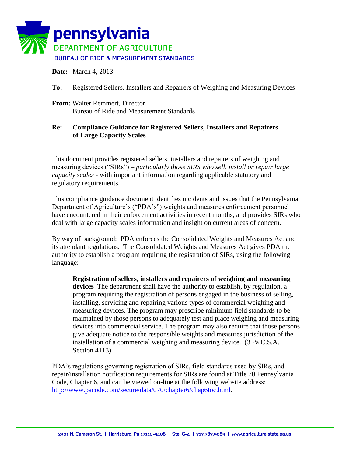

**Date:** March 4, 2013

**To:** Registered Sellers, Installers and Repairers of Weighing and Measuring Devices

**From:** Walter Remmert, Director Bureau of Ride and Measurement Standards

## **Re: Compliance Guidance for Registered Sellers, Installers and Repairers of Large Capacity Scales**

This document provides registered sellers, installers and repairers of weighing and measuring devices ("SIRs") – *particularly those SIRS who sell, install or repair large capacity scales* - with important information regarding applicable statutory and regulatory requirements.

This compliance guidance document identifies incidents and issues that the Pennsylvania Department of Agriculture's ("PDA's") weights and measures enforcement personnel have encountered in their enforcement activities in recent months, and provides SIRs who deal with large capacity scales information and insight on current areas of concern.

By way of background: PDA enforces the Consolidated Weights and Measures Act and its attendant regulations. The Consolidated Weights and Measures Act gives PDA the authority to establish a program requiring the registration of SIRs, using the following language:

**Registration of sellers, installers and repairers of weighing and measuring devices** The department shall have the authority to establish, by regulation, a program requiring the registration of persons engaged in the business of selling, installing, servicing and repairing various types of commercial weighing and measuring devices. The program may prescribe minimum field standards to be maintained by those persons to adequately test and place weighing and measuring devices into commercial service. The program may also require that those persons give adequate notice to the responsible weights and measures jurisdiction of the installation of a commercial weighing and measuring device. (3 Pa.C.S.A. Section 4113)

PDA's regulations governing registration of SIRs, field standards used by SIRs, and repair/installation notification requirements for SIRs are found at Title 70 Pennsylvania Code, Chapter 6, and can be viewed on-line at the following website address: [http://www.pacode.com/secure/data/070/chapter6/chap6toc.html.](http://www.pacode.com/secure/data/070/chapter6/chap6toc.html)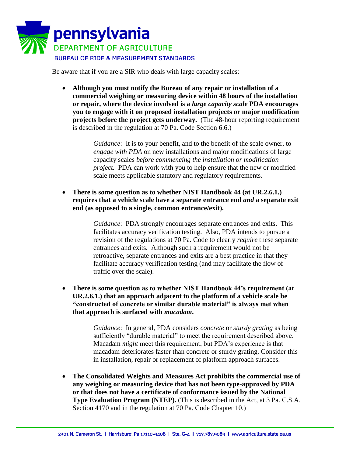

Be aware that if you are a SIR who deals with large capacity scales:

 **Although you must notify the Bureau of any repair or installation of a commercial weighing or measuring device within 48 hours of the installation or repair, where the device involved is a** *large capacity scale* **PDA encourages you to engage with it on proposed installation projects or major modification projects before the project gets underway.** (The 48-hour reporting requirement is described in the regulation at 70 Pa. Code Section 6.6.)

> *Guidance*: It is to your benefit, and to the benefit of the scale owner, to *engage with PDA* on new installations and major modifications of large capacity scales *before commencing the installation or modification project.* PDA can work with you to help ensure that the new or modified scale meets applicable statutory and regulatory requirements.

 **There is some question as to whether NIST Handbook 44 (at UR.2.6.1.) requires that a vehicle scale have a separate entrance end** *and* **a separate exit end (as opposed to a single, common entrance/exit).** 

> *Guidance*: PDA strongly encourages separate entrances and exits. This facilitates accuracy verification testing. Also, PDA intends to pursue a revision of the regulations at 70 Pa. Code to clearly *require* these separate entrances and exits. Although such a requirement would not be retroactive, separate entrances and exits are a best practice in that they facilitate accuracy verification testing (and may facilitate the flow of traffic over the scale).

 **There is some question as to whether NIST Handbook 44's requirement (at UR.2.6.1.) that an approach adjacent to the platform of a vehicle scale be "constructed of concrete or similar durable material" is always met when that approach is surfaced with** *macadam***.**

> *Guidance*: In general, PDA considers *concrete* or *sturdy grating* as being sufficiently "durable material" to meet the requirement described above. Macadam *might* meet this requirement, but PDA's experience is that macadam deteriorates faster than concrete or sturdy grating. Consider this in installation, repair or replacement of platform approach surfaces.

 **The Consolidated Weights and Measures Act prohibits the commercial use of any weighing or measuring device that has not been type-approved by PDA or that does not have a certificate of conformance issued by the National Type Evaluation Program (NTEP).** (This is described in the Act, at 3 Pa. C.S.A. Section 4170 and in the regulation at 70 Pa. Code Chapter 10.)